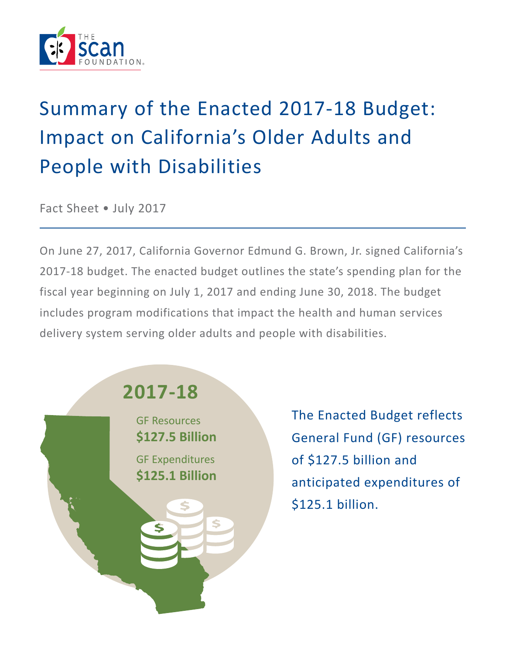

# Summary of the Enacted 2017-18 Budget: Impact on California's Older Adults and People with Disabilities

Fact Sheet • July 2017

On June 27, 2017, California Governor Edmund G. Brown, Jr. signed California's 2017-18 budget. The enacted budget outlines the state's spending plan for the fiscal year beginning on July 1, 2017 and ending June 30, 2018. The budget includes program modifications that impact the health and human services delivery system serving older adults and people with disabilities.

# **2017-18**

GF Resources **\$127.5 Billion** GF Expenditures **\$125.1 Billion**

The Enacted Budget reflects General Fund (GF) resources of \$127.5 billion and anticipated expenditures of \$125.1 billion.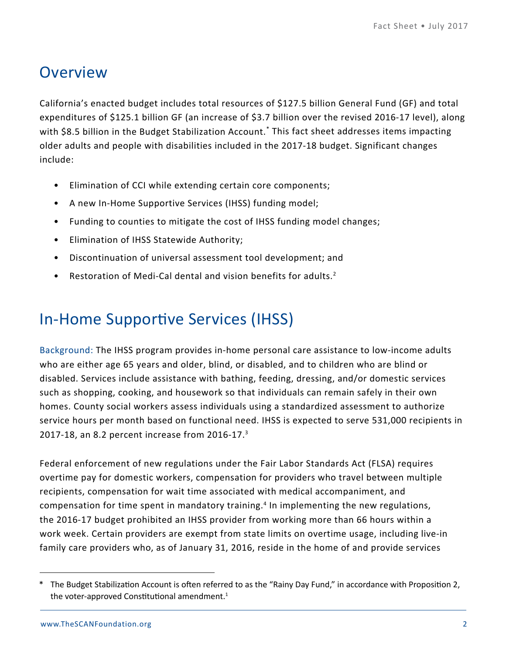## **Overview**

California's enacted budget includes total resources of \$127.5 billion General Fund (GF) and total expenditures of \$125.1 billion GF (an increase of \$3.7 billion over the revised 2016-17 level), along with \$8.5 billion in the Budget Stabilization Account.\* This fact sheet addresses items impacting older adults and people with disabilities included in the 2017-18 budget. Significant changes include:

- Elimination of CCI while extending certain core components;
- A new In-Home Supportive Services (IHSS) funding model;
- Funding to counties to mitigate the cost of IHSS funding model changes;
- Elimination of IHSS Statewide Authority;
- Discontinuation of universal assessment tool development; and
- Restoration of Medi-Cal dental and vision benefits for adults.<sup>2</sup>

## In-Home Supportive Services (IHSS)

Background: The IHSS program provides in-home personal care assistance to low-income adults who are either age 65 years and older, blind, or disabled, and to children who are blind or disabled. Services include assistance with bathing, feeding, dressing, and/or domestic services such as shopping, cooking, and housework so that individuals can remain safely in their own homes. County social workers assess individuals using a standardized assessment to authorize service hours per month based on functional need. IHSS is expected to serve 531,000 recipients in 2017-18, an 8.2 percent increase from 2016-17.3

Federal enforcement of new regulations under the Fair Labor Standards Act (FLSA) requires overtime pay for domestic workers, compensation for providers who travel between multiple recipients, compensation for wait time associated with medical accompaniment, and compensation for time spent in mandatory training.<sup>4</sup> In implementing the new regulations, the 2016-17 budget prohibited an IHSS provider from working more than 66 hours within a work week. Certain providers are exempt from state limits on overtime usage, including live-in family care providers who, as of January 31, 2016, reside in the home of and provide services

<sup>\*</sup> The Budget Stabilization Account is often referred to as the "Rainy Day Fund," in accordance with Proposition 2, the voter-approved Constitutional amendment. $1$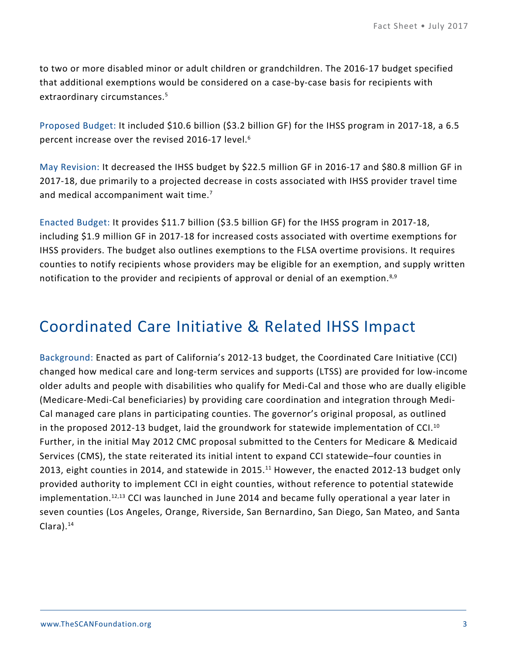to two or more disabled minor or adult children or grandchildren. The 2016-17 budget specified that additional exemptions would be considered on a case-by-case basis for recipients with extraordinary circumstances.<sup>5</sup>

Proposed Budget: It included \$10.6 billion (\$3.2 billion GF) for the IHSS program in 2017-18, a 6.5 percent increase over the revised 2016-17 level.<sup>6</sup>

May Revision: It decreased the IHSS budget by \$22.5 million GF in 2016-17 and \$80.8 million GF in 2017-18, due primarily to a projected decrease in costs associated with IHSS provider travel time and medical accompaniment wait time.<sup>7</sup>

Enacted Budget: It provides \$11.7 billion (\$3.5 billion GF) for the IHSS program in 2017-18, including \$1.9 million GF in 2017-18 for increased costs associated with overtime exemptions for IHSS providers. The budget also outlines exemptions to the FLSA overtime provisions. It requires counties to notify recipients whose providers may be eligible for an exemption, and supply written notification to the provider and recipients of approval or denial of an exemption.<sup>8,9</sup>

### Coordinated Care Initiative & Related IHSS Impact

Background: Enacted as part of California's 2012-13 budget, the Coordinated Care Initiative (CCI) changed how medical care and long-term services and supports (LTSS) are provided for low-income older adults and people with disabilities who qualify for Medi-Cal and those who are dually eligible (Medicare-Medi-Cal beneficiaries) by providing care coordination and integration through Medi-Cal managed care plans in participating counties. The governor's original proposal, as outlined in the proposed 2012-13 budget, laid the groundwork for statewide implementation of CCI.<sup>10</sup> Further, in the initial May 2012 CMC proposal submitted to the Centers for Medicare & Medicaid Services (CMS), the state reiterated its initial intent to expand CCI statewide–four counties in 2013, eight counties in 2014, and statewide in 2015.<sup>11</sup> However, the enacted 2012-13 budget only provided authority to implement CCI in eight counties, without reference to potential statewide implementation.<sup>12,13</sup> CCI was launched in June 2014 and became fully operational a year later in seven counties (Los Angeles, Orange, Riverside, San Bernardino, San Diego, San Mateo, and Santa Clara).14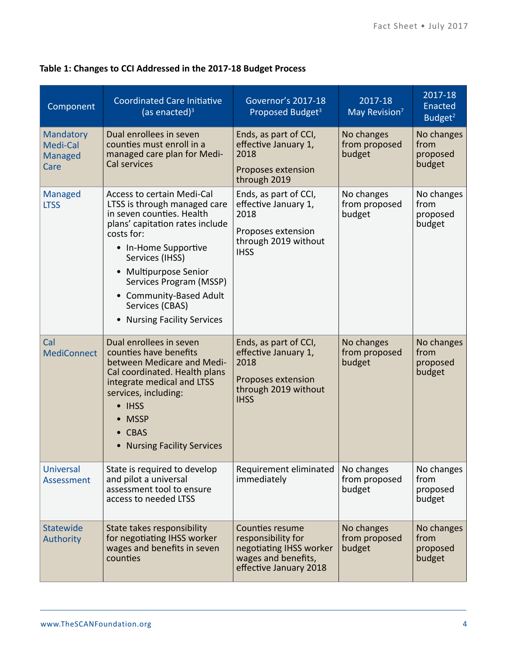| Component                                              | <b>Coordinated Care Initiative</b><br>$(a)$ enacted) <sup>3</sup>                                                                                                                                                                                                                                                                   | <b>Governor's 2017-18</b><br>Proposed Budget <sup>3</sup>                                                                | 2017-18<br>May Revision <sup>7</sup>  | 2017-18<br>Enacted<br>Budget <sup>2</sup> |
|--------------------------------------------------------|-------------------------------------------------------------------------------------------------------------------------------------------------------------------------------------------------------------------------------------------------------------------------------------------------------------------------------------|--------------------------------------------------------------------------------------------------------------------------|---------------------------------------|-------------------------------------------|
| <b>Mandatory</b><br>Medi-Cal<br><b>Managed</b><br>Care | Dual enrollees in seven<br>counties must enroll in a<br>managed care plan for Medi-<br>Cal services                                                                                                                                                                                                                                 | Ends, as part of CCI,<br>effective January 1,<br>2018<br>Proposes extension<br>through 2019                              | No changes<br>from proposed<br>budget | No changes<br>from<br>proposed<br>budget  |
| <b>Managed</b><br><b>LTSS</b>                          | <b>Access to certain Medi-Cal</b><br>LTSS is through managed care<br>in seven counties. Health<br>plans' capitation rates include<br>costs for:<br>• In-Home Supportive<br>Services (IHSS)<br><b>Multipurpose Senior</b><br>Services Program (MSSP)<br>Community-Based Adult<br>Services (CBAS)<br><b>Nursing Facility Services</b> | Ends, as part of CCI,<br>effective January 1,<br>2018<br>Proposes extension<br>through 2019 without<br><b>IHSS</b>       | No changes<br>from proposed<br>budget | No changes<br>from<br>proposed<br>budget  |
| Cal<br><b>MediConnect</b>                              | Dual enrollees in seven<br>counties have benefits<br>between Medicare and Medi-<br>Cal coordinated. Health plans<br>integrate medical and LTSS<br>services, including:<br>• IHSS<br><b>MSSP</b><br><b>CBAS</b><br><b>Nursing Facility Services</b><br>$\bullet$                                                                     | Ends, as part of CCI,<br>effective January 1,<br>2018<br>Proposes extension<br>through 2019 without<br><b>IHSS</b>       | No changes<br>from proposed<br>budget | No changes<br>from<br>proposed<br>budget  |
| <b>Universal</b><br>Assessment                         | State is required to develop<br>and pilot a universal<br>assessment tool to ensure<br>access to needed LTSS                                                                                                                                                                                                                         | Requirement eliminated<br>immediately                                                                                    | No changes<br>from proposed<br>budget | No changes<br>from<br>proposed<br>budget  |
| <b>Statewide</b><br><b>Authority</b>                   | State takes responsibility<br>for negotiating IHSS worker<br>wages and benefits in seven<br>counties                                                                                                                                                                                                                                | <b>Counties resume</b><br>responsibility for<br>negotiating IHSS worker<br>wages and benefits,<br>effective January 2018 | No changes<br>from proposed<br>budget | No changes<br>from<br>proposed<br>budget  |

#### **Table 1: Changes to CCI Addressed in the 2017-18 Budget Process**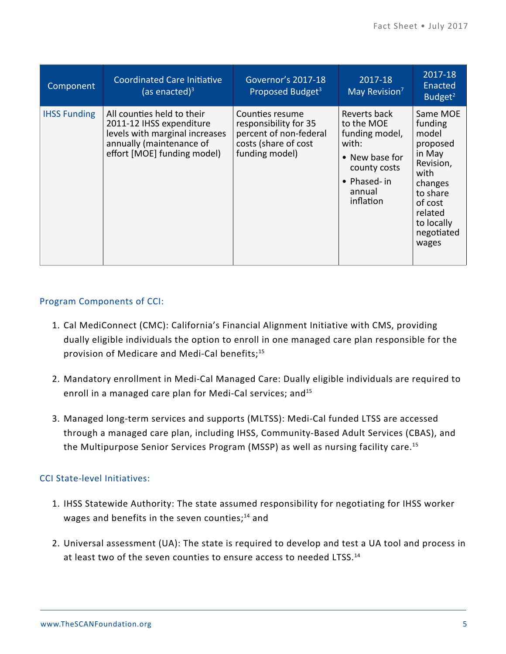| Component           | Coordinated Care Initiative<br>(as enacted) $3$                                                                                                     | Governor's 2017-18<br>Proposed Budget <sup>3</sup>                                                           | 2017-18<br>May Revision <sup>7</sup>                                                                                          | 2017-18<br>Enacted<br>Budget $2$                                                                                                                          |
|---------------------|-----------------------------------------------------------------------------------------------------------------------------------------------------|--------------------------------------------------------------------------------------------------------------|-------------------------------------------------------------------------------------------------------------------------------|-----------------------------------------------------------------------------------------------------------------------------------------------------------|
| <b>IHSS Funding</b> | All counties held to their<br>2011-12 IHSS expenditure<br>levels with marginal increases<br>annually (maintenance of<br>effort [MOE] funding model) | Counties resume<br>responsibility for 35<br>percent of non-federal<br>costs (share of cost<br>funding model) | Reverts back<br>to the MOE<br>funding model,<br>with:<br>• New base for<br>county costs<br>• Phased-in<br>annual<br>inflation | Same MOE<br>funding<br>model<br>proposed<br>in May<br>Revision,<br>with<br>changes<br>to share<br>of cost<br>related<br>to locally<br>negotiated<br>wages |

#### Program Components of CCI:

- 1. Cal MediConnect (CMC): California's Financial Alignment Initiative with CMS, providing dually eligible individuals the option to enroll in one managed care plan responsible for the provision of Medicare and Medi-Cal benefits;<sup>15</sup>
- 2. Mandatory enrollment in Medi-Cal Managed Care: Dually eligible individuals are required to enroll in a managed care plan for Medi-Cal services; and<sup>15</sup>
- 3. Managed long-term services and supports (MLTSS): Medi-Cal funded LTSS are accessed through a managed care plan, including IHSS, Community-Based Adult Services (CBAS), and the Multipurpose Senior Services Program (MSSP) as well as nursing facility care.15

#### CCI State-level Initiatives:

- 1. IHSS Statewide Authority: The state assumed responsibility for negotiating for IHSS worker wages and benefits in the seven counties; $^{14}$  and
- 2. Universal assessment (UA): The state is required to develop and test a UA tool and process in at least two of the seven counties to ensure access to needed LTSS.<sup>14</sup>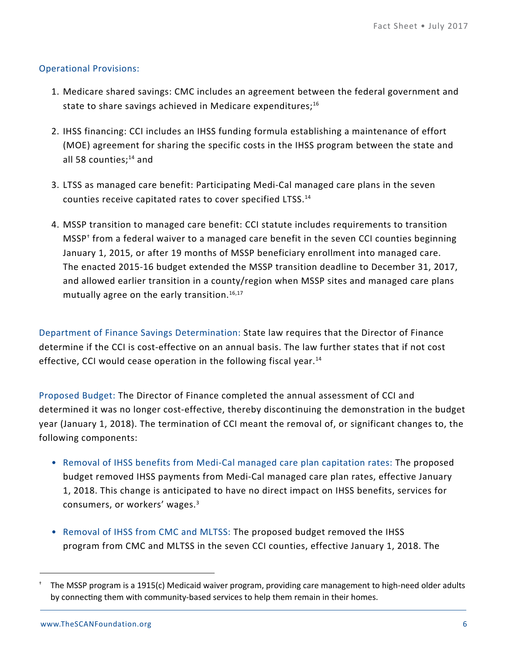#### Operational Provisions:

- 1. Medicare shared savings: CMC includes an agreement between the federal government and state to share savings achieved in Medicare expenditures;<sup>16</sup>
- 2. IHSS financing: CCI includes an IHSS funding formula establishing a maintenance of effort (MOE) agreement for sharing the specific costs in the IHSS program between the state and all 58 counties;<sup>14</sup> and
- 3. LTSS as managed care benefit: Participating Medi-Cal managed care plans in the seven counties receive capitated rates to cover specified LTSS.14
- 4. MSSP transition to managed care benefit: CCI statute includes requirements to transition MSSP† from a federal waiver to a managed care benefit in the seven CCI counties beginning January 1, 2015, or after 19 months of MSSP beneficiary enrollment into managed care. The enacted 2015-16 budget extended the MSSP transition deadline to December 31, 2017, and allowed earlier transition in a county/region when MSSP sites and managed care plans mutually agree on the early transition.<sup>16,17</sup>

Department of Finance Savings Determination: State law requires that the Director of Finance determine if the CCI is cost-effective on an annual basis. The law further states that if not cost effective, CCI would cease operation in the following fiscal year.<sup>14</sup>

Proposed Budget: The Director of Finance completed the annual assessment of CCI and determined it was no longer cost-effective, thereby discontinuing the demonstration in the budget year (January 1, 2018). The termination of CCI meant the removal of, or significant changes to, the following components:

- Removal of IHSS benefits from Medi-Cal managed care plan capitation rates: The proposed budget removed IHSS payments from Medi-Cal managed care plan rates, effective January 1, 2018. This change is anticipated to have no direct impact on IHSS benefits, services for consumers, or workers' wages.3
- Removal of IHSS from CMC and MLTSS: The proposed budget removed the IHSS program from CMC and MLTSS in the seven CCI counties, effective January 1, 2018. The

<sup>†</sup> The MSSP program is a 1915(c) Medicaid waiver program, providing care management to high-need older adults by connecting them with community-based services to help them remain in their homes.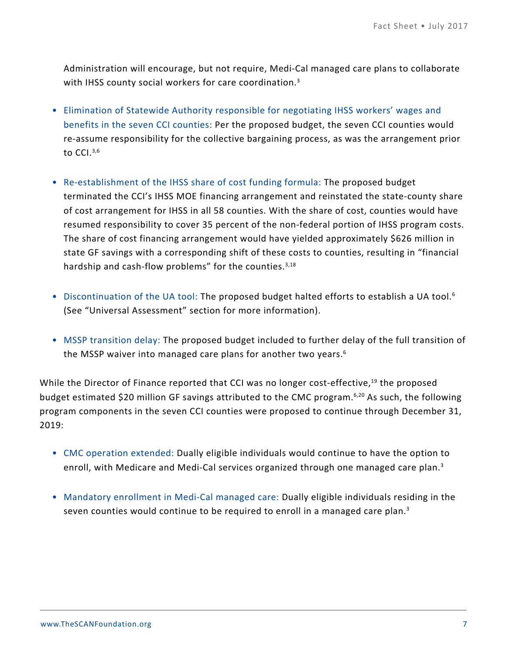Administration will encourage, but not require, Medi-Cal managed care plans to collaborate with IHSS county social workers for care coordination.<sup>3</sup>

- Elimination of Statewide Authority responsible for negotiating IHSS workers' wages and benefits in the seven CCI counties: Per the proposed budget, the seven CCI counties would re-assume responsibility for the collective bargaining process, as was the arrangement prior to CCI.<sup>3,6</sup>
- Re-establishment of the IHSS share of cost funding formula: The proposed budget terminated the CCI's IHSS MOE financing arrangement and reinstated the state-county share of cost arrangement for IHSS in all 58 counties. With the share of cost, counties would have resumed responsibility to cover 35 percent of the non-federal portion of IHSS program costs. The share of cost financing arrangement would have yielded approximately \$626 million in state GF savings with a corresponding shift of these costs to counties, resulting in "financial hardship and cash-flow problems" for the counties.  $3,18$
- Discontinuation of the UA tool: The proposed budget halted efforts to establish a UA tool.<sup>6</sup> (See "Universal Assessment" section for more information).
- MSSP transition delay: The proposed budget included to further delay of the full transition of the MSSP waiver into managed care plans for another two years.<sup>6</sup>

While the Director of Finance reported that CCI was no longer cost-effective,<sup>19</sup> the proposed budget estimated \$20 million GF savings attributed to the CMC program.6,20 As such, the following program components in the seven CCI counties were proposed to continue through December 31, 2019:

- CMC operation extended: Dually eligible individuals would continue to have the option to enroll, with Medicare and Medi-Cal services organized through one managed care plan.<sup>3</sup>
- Mandatory enrollment in Medi-Cal managed care: Dually eligible individuals residing in the seven counties would continue to be required to enroll in a managed care plan. $3$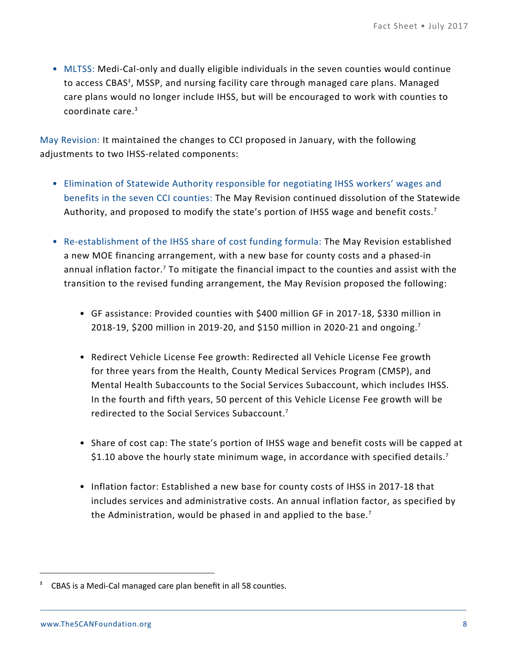• MLTSS: Medi-Cal-only and dually eligible individuals in the seven counties would continue to access CBAS<sup>‡</sup>, MSSP, and nursing facility care through managed care plans. Managed care plans would no longer include IHSS, but will be encouraged to work with counties to coordinate care.3

May Revision: It maintained the changes to CCI proposed in January, with the following adjustments to two IHSS-related components:

- Elimination of Statewide Authority responsible for negotiating IHSS workers' wages and benefits in the seven CCI counties: The May Revision continued dissolution of the Statewide Authority, and proposed to modify the state's portion of IHSS wage and benefit costs.<sup>7</sup>
- Re-establishment of the IHSS share of cost funding formula: The May Revision established a new MOE financing arrangement, with a new base for county costs and a phased-in annual inflation factor.<sup>7</sup> To mitigate the financial impact to the counties and assist with the transition to the revised funding arrangement, the May Revision proposed the following:
	- GF assistance: Provided counties with \$400 million GF in 2017-18, \$330 million in 2018-19, \$200 million in 2019-20, and \$150 million in 2020-21 and ongoing.<sup>7</sup>
	- Redirect Vehicle License Fee growth: Redirected all Vehicle License Fee growth for three years from the Health, County Medical Services Program (CMSP), and Mental Health Subaccounts to the Social Services Subaccount, which includes IHSS. In the fourth and fifth years, 50 percent of this Vehicle License Fee growth will be redirected to the Social Services Subaccount.7
	- Share of cost cap: The state's portion of IHSS wage and benefit costs will be capped at \$1.10 above the hourly state minimum wage, in accordance with specified details.<sup>7</sup>
	- Inflation factor: Established a new base for county costs of IHSS in 2017-18 that includes services and administrative costs. An annual inflation factor, as specified by the Administration, would be phased in and applied to the base.<sup>7</sup>

<sup>‡</sup> CBAS is a Medi-Cal managed care plan benefit in all 58 counties.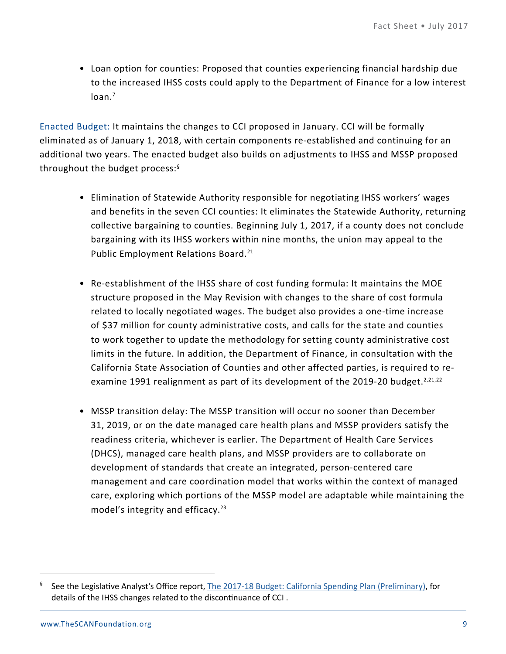• Loan option for counties: Proposed that counties experiencing financial hardship due to the increased IHSS costs could apply to the Department of Finance for a low interest loan.<sup>7</sup>

Enacted Budget: It maintains the changes to CCI proposed in January. CCI will be formally eliminated as of January 1, 2018, with certain components re-established and continuing for an additional two years. The enacted budget also builds on adjustments to IHSS and MSSP proposed throughout the budget process:§

- Elimination of Statewide Authority responsible for negotiating IHSS workers' wages and benefits in the seven CCI counties: It eliminates the Statewide Authority, returning collective bargaining to counties. Beginning July 1, 2017, if a county does not conclude bargaining with its IHSS workers within nine months, the union may appeal to the Public Employment Relations Board.<sup>21</sup>
- Re-establishment of the IHSS share of cost funding formula: It maintains the MOE structure proposed in the May Revision with changes to the share of cost formula related to locally negotiated wages. The budget also provides a one-time increase of \$37 million for county administrative costs, and calls for the state and counties to work together to update the methodology for setting county administrative cost limits in the future. In addition, the Department of Finance, in consultation with the California State Association of Counties and other affected parties, is required to reexamine 1991 realignment as part of its development of the 2019-20 budget.<sup>2,21,22</sup>
- MSSP transition delay: The MSSP transition will occur no sooner than December 31, 2019, or on the date managed care health plans and MSSP providers satisfy the readiness criteria, whichever is earlier. The Department of Health Care Services (DHCS), managed care health plans, and MSSP providers are to collaborate on development of standards that create an integrated, person-centered care management and care coordination model that works within the context of managed care, exploring which portions of the MSSP model are adaptable while maintaining the model's integrity and efficacy.<sup>23</sup>

See the Legislative Analyst's Office report, [The 2017-18 Budget: California Spending Plan \(Preliminary\),](http://lao.ca.gov/Publications/Detail/3694) for details of the IHSS changes related to the discontinuance of CCI .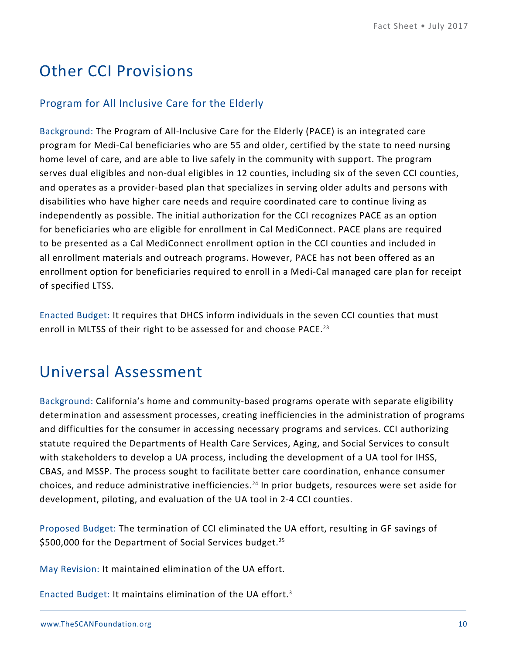# Other CCI Provisions

#### Program for All Inclusive Care for the Elderly

Background: The Program of All-Inclusive Care for the Elderly (PACE) is an integrated care program for Medi-Cal beneficiaries who are 55 and older, certified by the state to need nursing home level of care, and are able to live safely in the community with support. The program serves dual eligibles and non-dual eligibles in 12 counties, including six of the seven CCI counties, and operates as a provider-based plan that specializes in serving older adults and persons with disabilities who have higher care needs and require coordinated care to continue living as independently as possible. The initial authorization for the CCI recognizes PACE as an option for beneficiaries who are eligible for enrollment in Cal MediConnect. PACE plans are required to be presented as a Cal MediConnect enrollment option in the CCI counties and included in all enrollment materials and outreach programs. However, PACE has not been offered as an enrollment option for beneficiaries required to enroll in a Medi-Cal managed care plan for receipt of specified LTSS.

Enacted Budget: It requires that DHCS inform individuals in the seven CCI counties that must enroll in MLTSS of their right to be assessed for and choose PACE.<sup>23</sup>

### Universal Assessment

Background: California's home and community-based programs operate with separate eligibility determination and assessment processes, creating inefficiencies in the administration of programs and difficulties for the consumer in accessing necessary programs and services. CCI authorizing statute required the Departments of Health Care Services, Aging, and Social Services to consult with stakeholders to develop a UA process, including the development of a UA tool for IHSS, CBAS, and MSSP. The process sought to facilitate better care coordination, enhance consumer choices, and reduce administrative inefficiencies.<sup>24</sup> In prior budgets, resources were set aside for development, piloting, and evaluation of the UA tool in 2-4 CCI counties.

Proposed Budget: The termination of CCI eliminated the UA effort, resulting in GF savings of \$500,000 for the Department of Social Services budget.<sup>25</sup>

May Revision: It maintained elimination of the UA effort.

Enacted Budget: It maintains elimination of the UA effort.3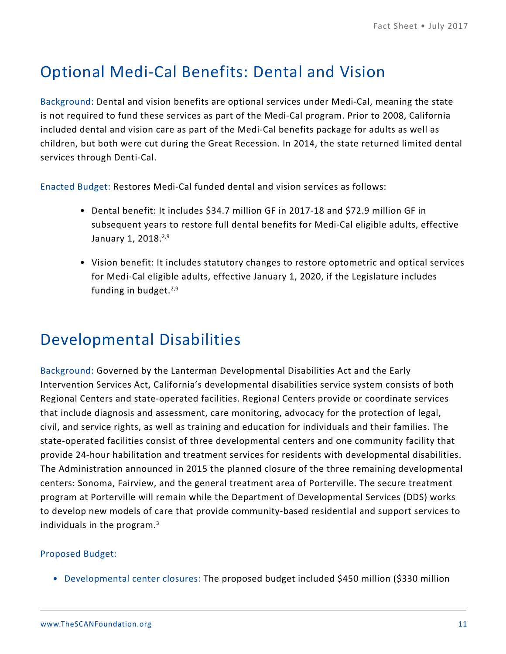# Optional Medi-Cal Benefits: Dental and Vision

Background: Dental and vision benefits are optional services under Medi-Cal, meaning the state is not required to fund these services as part of the Medi-Cal program. Prior to 2008, California included dental and vision care as part of the Medi-Cal benefits package for adults as well as children, but both were cut during the Great Recession. In 2014, the state returned limited dental services through Denti-Cal.

Enacted Budget: Restores Medi-Cal funded dental and vision services as follows:

- Dental benefit: It includes \$34.7 million GF in 2017-18 and \$72.9 million GF in subsequent years to restore full dental benefits for Medi-Cal eligible adults, effective January 1, 2018.<sup>2,9</sup>
- Vision benefit: It includes statutory changes to restore optometric and optical services for Medi-Cal eligible adults, effective January 1, 2020, if the Legislature includes funding in budget. $2.9$

### Developmental Disabilities

Background: Governed by the Lanterman Developmental Disabilities Act and the Early Intervention Services Act, California's developmental disabilities service system consists of both Regional Centers and state-operated facilities. Regional Centers provide or coordinate services that include diagnosis and assessment, care monitoring, advocacy for the protection of legal, civil, and service rights, as well as training and education for individuals and their families. The state-operated facilities consist of three developmental centers and one community facility that provide 24-hour habilitation and treatment services for residents with developmental disabilities. The Administration announced in 2015 the planned closure of the three remaining developmental centers: Sonoma, Fairview, and the general treatment area of Porterville. The secure treatment program at Porterville will remain while the Department of Developmental Services (DDS) works to develop new models of care that provide community-based residential and support services to individuals in the program. $3$ 

#### Proposed Budget:

• Developmental center closures: The proposed budget included \$450 million (\$330 million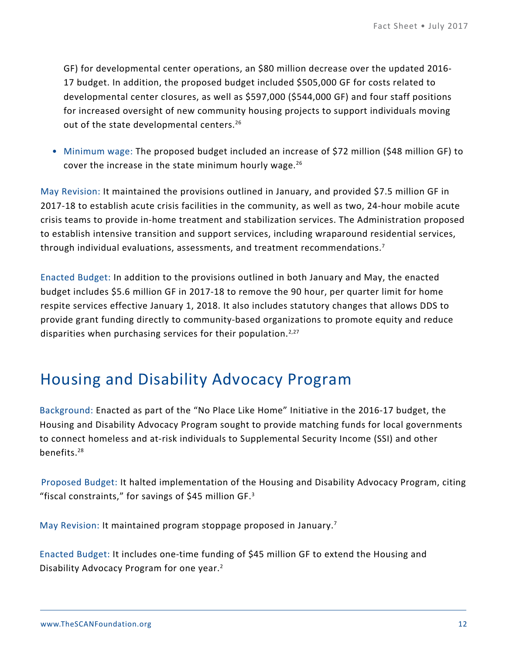GF) for developmental center operations, an \$80 million decrease over the updated 2016- 17 budget. In addition, the proposed budget included \$505,000 GF for costs related to developmental center closures, as well as \$597,000 (\$544,000 GF) and four staff positions for increased oversight of new community housing projects to support individuals moving out of the state developmental centers.<sup>26</sup>

• Minimum wage: The proposed budget included an increase of \$72 million (\$48 million GF) to cover the increase in the state minimum hourly wage.<sup>26</sup>

May Revision: It maintained the provisions outlined in January, and provided \$7.5 million GF in 2017-18 to establish acute crisis facilities in the community, as well as two, 24-hour mobile acute crisis teams to provide in-home treatment and stabilization services. The Administration proposed to establish intensive transition and support services, including wraparound residential services, through individual evaluations, assessments, and treatment recommendations.<sup>7</sup>

Enacted Budget: In addition to the provisions outlined in both January and May, the enacted budget includes \$5.6 million GF in 2017-18 to remove the 90 hour, per quarter limit for home respite services effective January 1, 2018. It also includes statutory changes that allows DDS to provide grant funding directly to community-based organizations to promote equity and reduce disparities when purchasing services for their population.<sup>2,27</sup>

### Housing and Disability Advocacy Program

Background: Enacted as part of the "No Place Like Home" Initiative in the 2016-17 budget, the Housing and Disability Advocacy Program sought to provide matching funds for local governments to connect homeless and at-risk individuals to Supplemental Security Income (SSI) and other benefits.28

Proposed Budget: It halted implementation of the Housing and Disability Advocacy Program, citing "fiscal constraints," for savings of \$45 million GF.<sup>3</sup>

May Revision: It maintained program stoppage proposed in January.<sup>7</sup>

Enacted Budget: It includes one-time funding of \$45 million GF to extend the Housing and Disability Advocacy Program for one year.<sup>2</sup>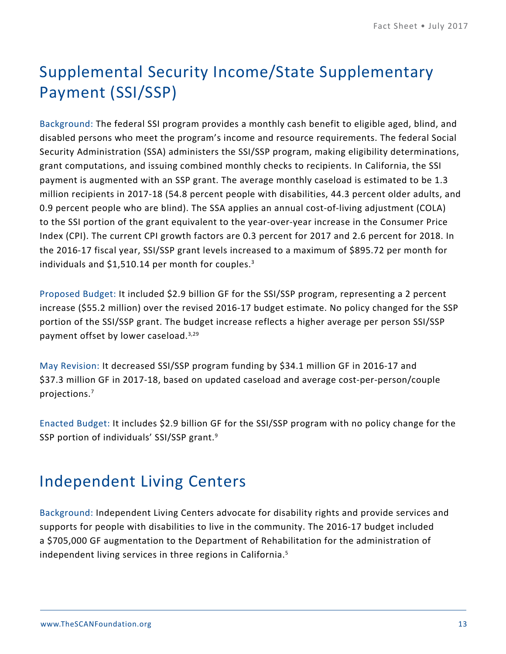# Supplemental Security Income/State Supplementary Payment (SSI/SSP)

Background: The federal SSI program provides a monthly cash benefit to eligible aged, blind, and disabled persons who meet the program's income and resource requirements. The federal Social Security Administration (SSA) administers the SSI/SSP program, making eligibility determinations, grant computations, and issuing combined monthly checks to recipients. In California, the SSI payment is augmented with an SSP grant. The average monthly caseload is estimated to be 1.3 million recipients in 2017-18 (54.8 percent people with disabilities, 44.3 percent older adults, and 0.9 percent people who are blind). The SSA applies an annual cost-of-living adjustment (COLA) to the SSI portion of the grant equivalent to the year-over-year increase in the Consumer Price Index (CPI). The current CPI growth factors are 0.3 percent for 2017 and 2.6 percent for 2018. In the 2016-17 fiscal year, SSI/SSP grant levels increased to a maximum of \$895.72 per month for individuals and \$1,510.14 per month for couples.3

Proposed Budget: It included \$2.9 billion GF for the SSI/SSP program, representing a 2 percent increase (\$55.2 million) over the revised 2016-17 budget estimate. No policy changed for the SSP portion of the SSI/SSP grant. The budget increase reflects a higher average per person SSI/SSP payment offset by lower caseload.<sup>3,29</sup>

May Revision: It decreased SSI/SSP program funding by \$34.1 million GF in 2016-17 and \$37.3 million GF in 2017-18, based on updated caseload and average cost-per-person/couple projections.7

Enacted Budget: It includes \$2.9 billion GF for the SSI/SSP program with no policy change for the SSP portion of individuals' SSI/SSP grant.9

### Independent Living Centers

Background: Independent Living Centers advocate for disability rights and provide services and supports for people with disabilities to live in the community. The 2016-17 budget included a \$705,000 GF augmentation to the Department of Rehabilitation for the administration of independent living services in three regions in California.<sup>5</sup>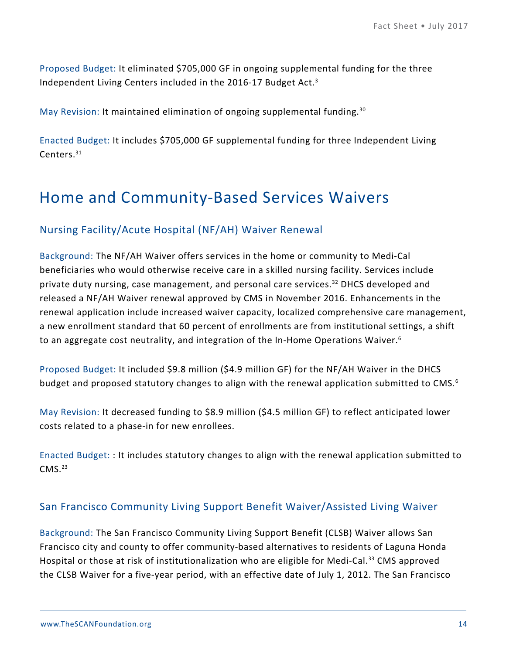Proposed Budget: It eliminated \$705,000 GF in ongoing supplemental funding for the three Independent Living Centers included in the 2016-17 Budget Act.3

May Revision: It maintained elimination of ongoing supplemental funding.<sup>30</sup>

Enacted Budget: It includes \$705,000 GF supplemental funding for three Independent Living Centers.31

### Home and Community-Based Services Waivers

#### Nursing Facility/Acute Hospital (NF/AH) Waiver Renewal

Background: The NF/AH Waiver offers services in the home or community to Medi-Cal beneficiaries who would otherwise receive care in a skilled nursing facility. Services include private duty nursing, case management, and personal care services.<sup>32</sup> DHCS developed and released a NF/AH Waiver renewal approved by CMS in November 2016. Enhancements in the renewal application include increased waiver capacity, localized comprehensive care management, a new enrollment standard that 60 percent of enrollments are from institutional settings, a shift to an aggregate cost neutrality, and integration of the In-Home Operations Waiver.6

Proposed Budget: It included \$9.8 million (\$4.9 million GF) for the NF/AH Waiver in the DHCS budget and proposed statutory changes to align with the renewal application submitted to CMS.<sup>6</sup>

May Revision: It decreased funding to \$8.9 million (\$4.5 million GF) to reflect anticipated lower costs related to a phase-in for new enrollees.

Enacted Budget: : It includes statutory changes to align with the renewal application submitted to  $CMS.<sup>23</sup>$ 

#### San Francisco Community Living Support Benefit Waiver/Assisted Living Waiver

Background: The San Francisco Community Living Support Benefit (CLSB) Waiver allows San Francisco city and county to offer community-based alternatives to residents of Laguna Honda Hospital or those at risk of institutionalization who are eligible for Medi-Cal.<sup>33</sup> CMS approved the CLSB Waiver for a five-year period, with an effective date of July 1, 2012. The San Francisco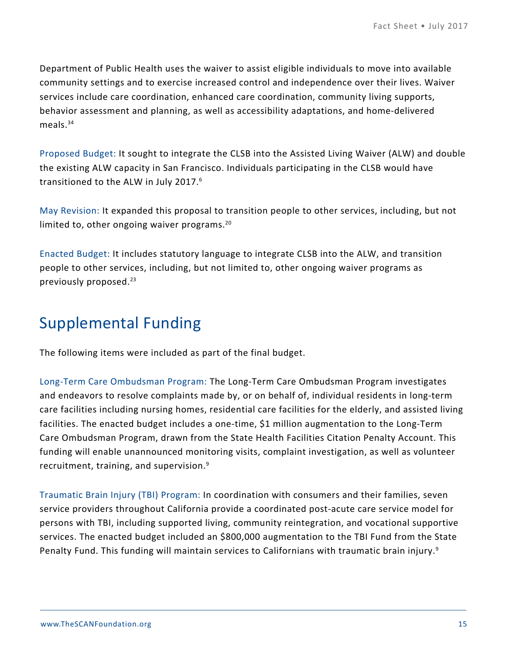Department of Public Health uses the waiver to assist eligible individuals to move into available community settings and to exercise increased control and independence over their lives. Waiver services include care coordination, enhanced care coordination, community living supports, behavior assessment and planning, as well as accessibility adaptations, and home-delivered meals.<sup>34</sup>

Proposed Budget: It sought to integrate the CLSB into the Assisted Living Waiver (ALW) and double the existing ALW capacity in San Francisco. Individuals participating in the CLSB would have transitioned to the ALW in July 2017.6

May Revision: It expanded this proposal to transition people to other services, including, but not limited to, other ongoing waiver programs.<sup>20</sup>

Enacted Budget: It includes statutory language to integrate CLSB into the ALW, and transition people to other services, including, but not limited to, other ongoing waiver programs as previously proposed.<sup>23</sup>

### Supplemental Funding

The following items were included as part of the final budget.

Long-Term Care Ombudsman Program: The Long-Term Care Ombudsman Program investigates and endeavors to resolve complaints made by, or on behalf of, individual residents in long-term care facilities including nursing homes, residential care facilities for the elderly, and assisted living facilities. The enacted budget includes a one-time, \$1 million augmentation to the Long-Term Care Ombudsman Program, drawn from the State Health Facilities Citation Penalty Account. This funding will enable unannounced monitoring visits, complaint investigation, as well as volunteer recruitment, training, and supervision. $9$ 

Traumatic Brain Injury (TBI) Program: In coordination with consumers and their families, seven service providers throughout California provide a coordinated post-acute care service model for persons with TBI, including supported living, community reintegration, and vocational supportive services. The enacted budget included an \$800,000 augmentation to the TBI Fund from the State Penalty Fund. This funding will maintain services to Californians with traumatic brain injury.<sup>9</sup>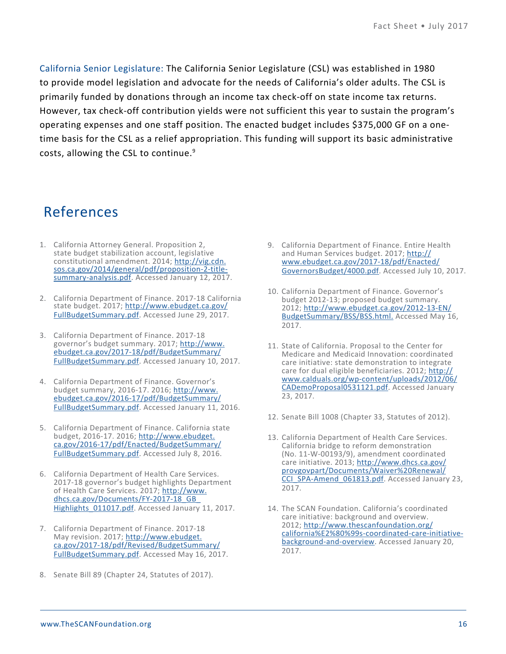California Senior Legislature: The California Senior Legislature (CSL) was established in 1980 to provide model legislation and advocate for the needs of California's older adults. The CSL is primarily funded by donations through an income tax check-off on state income tax returns. However, tax check-off contribution yields were not sufficient this year to sustain the program's operating expenses and one staff position. The enacted budget includes \$375,000 GF on a onetime basis for the CSL as a relief appropriation. This funding will support its basic administrative costs, allowing the CSL to continue.<sup>9</sup>

### References

- 1. California Attorney General. Proposition 2, state budget stabilization account, legislative constitutional amendment. 2014; [http://vig.cdn.](http://vig.cdn.sos.ca.gov/2014/general/pdf/proposition-2-title-summary-analysis.pdf) [sos.ca.gov/2014/general/pdf/proposition-2-title](http://vig.cdn.sos.ca.gov/2014/general/pdf/proposition-2-title-summary-analysis.pdf)[summary-analysis.pdf.](http://vig.cdn.sos.ca.gov/2014/general/pdf/proposition-2-title-summary-analysis.pdf) Accessed January 12, 2017.
- 2. California Department of Finance. 2017-18 California state budget. 2017; [http://www.ebudget.ca.gov/](http://www.ebudget.ca.gov/FullBudgetSummary.pdf) [FullBudgetSummary.pdf](http://www.ebudget.ca.gov/FullBudgetSummary.pdf). Accessed June 29, 2017.
- 3. California Department of Finance. 2017-18 governor's budget summary. 2017; [http://www.](http://www.ebudget.ca.gov/2017-18/pdf/BudgetSummary/FullBudgetSummary.pdf) [ebudget.ca.gov/2017-18/pdf/BudgetSummary/](http://www.ebudget.ca.gov/2017-18/pdf/BudgetSummary/FullBudgetSummary.pdf) [FullBudgetSummary.pdf](http://www.ebudget.ca.gov/2017-18/pdf/BudgetSummary/FullBudgetSummary.pdf). Accessed January 10, 2017.
- 4. California Department of Finance. Governor's budget summary, 2016-17. 2016; [http://www.](http://www.ebudget.ca.gov/2016-17/pdf/BudgetSummary/FullBudgetSummary.pdf) [ebudget.ca.gov/2016-17/pdf/BudgetSummary/](http://www.ebudget.ca.gov/2016-17/pdf/BudgetSummary/FullBudgetSummary.pdf) [FullBudgetSummary.pdf](http://www.ebudget.ca.gov/2016-17/pdf/BudgetSummary/FullBudgetSummary.pdf). Accessed January 11, 2016.
- 5. California Department of Finance. California state budget, 2016-17. 2016; [http://www.ebudget.](http://www.ebudget.ca.gov/2016-17/pdf/Enacted/BudgetSummary/FullBudgetSummary.pdf) [ca.gov/2016-17/pdf/Enacted/BudgetSummary/](http://www.ebudget.ca.gov/2016-17/pdf/Enacted/BudgetSummary/FullBudgetSummary.pdf) [FullBudgetSummary.pdf](http://www.ebudget.ca.gov/2016-17/pdf/Enacted/BudgetSummary/FullBudgetSummary.pdf). Accessed July 8, 2016.
- 6. California Department of Health Care Services. 2017-18 governor's budget highlights Department of Health Care Services. 2017; [http://www.](http://www.dhcs.ca.gov/Documents/FY-2017-18_GB_Highlights_011017.pdf) [dhcs.ca.gov/Documents/FY-2017-18\\_GB\\_](http://www.dhcs.ca.gov/Documents/FY-2017-18_GB_Highlights_011017.pdf) Highlights 011017.pdf. Accessed January 11, 2017.
- 7. California Department of Finance. 2017-18 May revision. 2017; [http://www.ebudget.](http://www.ebudget.ca.gov/2017-18/pdf/Revised/BudgetSummary/FullBudgetSummary.pdf) [ca.gov/2017-18/pdf/Revised/BudgetSummary/](http://www.ebudget.ca.gov/2017-18/pdf/Revised/BudgetSummary/FullBudgetSummary.pdf) [FullBudgetSummary.pdf](http://www.ebudget.ca.gov/2017-18/pdf/Revised/BudgetSummary/FullBudgetSummary.pdf). Accessed May 16, 2017.
- 8. Senate Bill 89 (Chapter 24, Statutes of 2017).
- 9. California Department of Finance. Entire Health and Human Services budget. 2017; [http://](http://www.ebudget.ca.gov/2017-18/pdf/Enacted/GovernorsBudget/4000.pdf) [www.ebudget.ca.gov/2017-18/pdf/Enacted/](http://www.ebudget.ca.gov/2017-18/pdf/Enacted/GovernorsBudget/4000.pdf) [GovernorsBudget/4000.pdf.](http://www.ebudget.ca.gov/2017-18/pdf/Enacted/GovernorsBudget/4000.pdf) Accessed July 10, 2017.
- 10. California Department of Finance. Governor's budget 2012-13; proposed budget summary. 2012; [http://www.ebudget.ca.gov/2012-13-EN/](http://www.ebudget.ca.gov/2012-13-EN/BudgetSummary/BSS/BSS.html) [BudgetSummary/BSS/BSS.html.](http://www.ebudget.ca.gov/2012-13-EN/BudgetSummary/BSS/BSS.html) Accessed May 16, 2017.
- 11. State of California. Proposal to the Center for Medicare and Medicaid Innovation: coordinated care initiative: state demonstration to integrate care for dual eligible beneficiaries. 2012; [http://](http://www.calduals.org/wp-content/uploads/2012/06/CADemoProposal0531121.pdf) [www.calduals.org/wp-content/uploads/2012/06/](http://www.calduals.org/wp-content/uploads/2012/06/CADemoProposal0531121.pdf) [CADemoProposal0531121.pdf.](http://www.calduals.org/wp-content/uploads/2012/06/CADemoProposal0531121.pdf) Accessed January 23, 2017.
- 12. Senate Bill 1008 (Chapter 33, Statutes of 2012).
- 13. California Department of Health Care Services. California bridge to reform demonstration (No. 11-W-00193/9), amendment coordinated care initiative. 2013; [http://www.dhcs.ca.gov/](http://www.dhcs.ca.gov/provgovpart/Documents/Waiver%20Renewal/CCI_SPA-Amend_061813.pdf) [provgovpart/Documents/Waiver%20Renewal/](http://www.dhcs.ca.gov/provgovpart/Documents/Waiver%20Renewal/CCI_SPA-Amend_061813.pdf) [CCI\\_SPA-Amend\\_061813.pdf.](http://www.dhcs.ca.gov/provgovpart/Documents/Waiver%20Renewal/CCI_SPA-Amend_061813.pdf) Accessed January 23, 2017.
- 14. The SCAN Foundation. California's coordinated care initiative: background and overview. 2012; [http://www.thescanfoundation.org/](http://www.thescanfoundation.org/california%E2%80%99s-coordinated-care-initiative-background-and-overview) [california%E2%80%99s-coordinated-care-initiative](http://www.thescanfoundation.org/california%E2%80%99s-coordinated-care-initiative-background-and-overview)[background-and-overview](http://www.thescanfoundation.org/california%E2%80%99s-coordinated-care-initiative-background-and-overview). Accessed January 20, 2017.